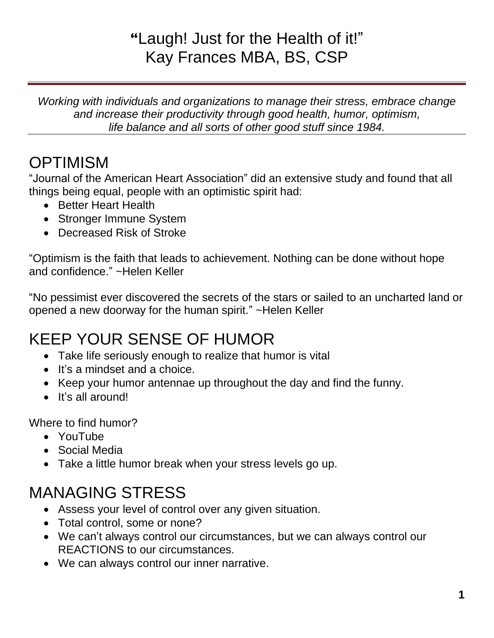## **"**Laugh! Just for the Health of it!" Kay Frances MBA, BS, CSP

*Working with individuals and organizations to manage their stress, embrace change and increase their productivity through good health, humor, optimism, life balance and all sorts of other good stuff since 1984.*

# **OPTIMISM**

"Journal of the American Heart Association" did an extensive study and found that all things being equal, people with an optimistic spirit had:

- Better Heart Health
- Stronger Immune System
- Decreased Risk of Stroke

"Optimism is the faith that leads to achievement. Nothing can be done without hope and confidence." ~Helen Keller

"No pessimist ever discovered the secrets of the stars or sailed to an uncharted land or opened a new doorway for the human spirit." ~Helen Keller

# KEEP YOUR SENSE OF HUMOR

- Take life seriously enough to realize that humor is vital
- It's a mindset and a choice.
- Keep your humor antennae up throughout the day and find the funny.
- It's all around!

Where to find humor?

- YouTube
- Social Media
- Take a little humor break when your stress levels go up.

## MANAGING STRESS

- Assess your level of control over any given situation.
- Total control, some or none?
- We can't always control our circumstances, but we can always control our REACTIONS to our circumstances.
- We can always control our inner narrative.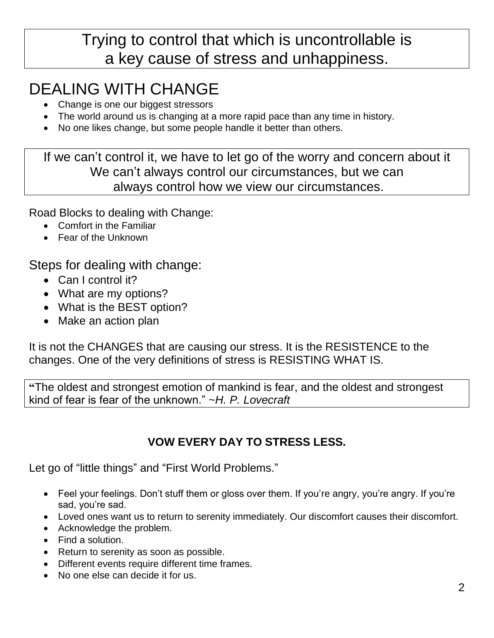### Trying to control that which is uncontrollable is a key cause of stress and unhappiness.

# DEALING WITH CHANGE

- Change is one our biggest stressors
- The world around us is changing at a more rapid pace than any time in history.
- No one likes change, but some people handle it better than others.

If we can't control it, we have to let go of the worry and concern about it We can't always control our circumstances, but we can always control how we view our circumstances.

Road Blocks to dealing with Change:

- Comfort in the Familiar
- Fear of the Unknown

Steps for dealing with change:

- Can I control it?
- What are my options?
- What is the BEST option?
- Make an action plan

It is not the CHANGES that are causing our stress. It is the RESISTENCE to the changes. One of the very definitions of stress is RESISTING WHAT IS.

**"**The oldest and strongest emotion of mankind is fear, and the oldest and strongest kind of fear is fear of the unknown." ~*H. P. Lovecraft*

### **VOW EVERY DAY TO STRESS LESS.**

Let go of "little things" and "First World Problems."

- Feel your feelings. Don't stuff them or gloss over them. If you're angry, you're angry. If you're sad, you're sad.
- Loved ones want us to return to serenity immediately. Our discomfort causes their discomfort.
- Acknowledge the problem.
- Find a solution.
- Return to serenity as soon as possible.
- Different events require different time frames.
- No one else can decide it for us.